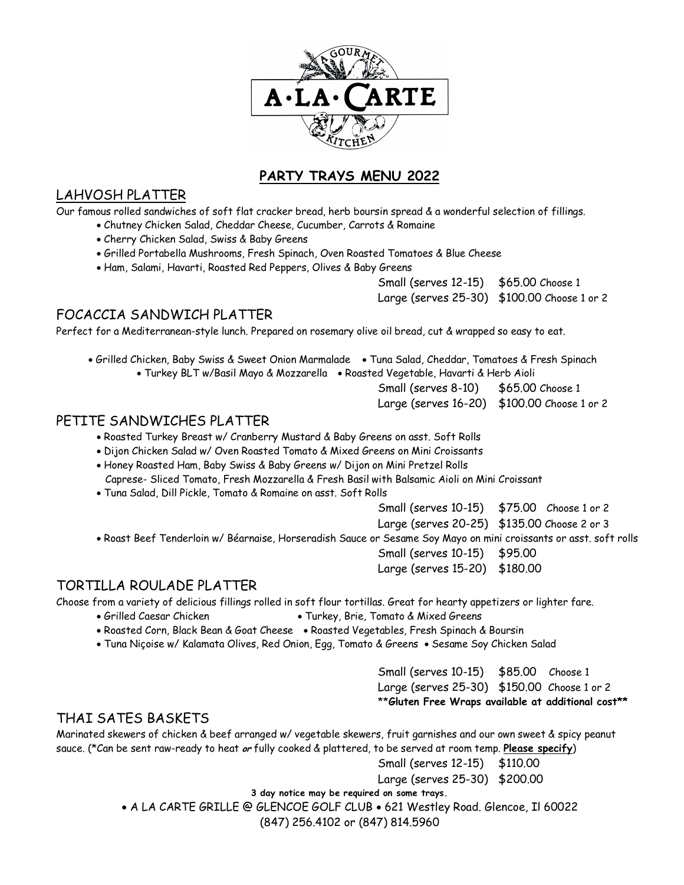

# **PARTY TRAYS MENU 2022**

## LAHVOSH PLATTER

Our famous rolled sandwiches of soft flat cracker bread, herb boursin spread & a wonderful selection of fillings.

- Chutney Chicken Salad, Cheddar Cheese, Cucumber, Carrots & Romaine
- Cherry Chicken Salad, Swiss & Baby Greens
- Grilled Portabella Mushrooms, Fresh Spinach, Oven Roasted Tomatoes & Blue Cheese
- Ham, Salami, Havarti, Roasted Red Peppers, Olives & Baby Greens

Small (serves 12-15) \$65.00 Choose 1 Large (serves 25-30) \$100.00 Choose 1 or 2

# FOCACCIA SANDWICH PLATTER

Perfect for a Mediterranean-style lunch. Prepared on rosemary olive oil bread, cut & wrapped so easy to eat.

- Grilled Chicken, Baby Swiss & Sweet Onion Marmalade Tuna Salad, Cheddar, Tomatoes & Fresh Spinach • Turkey BLT w/Basil Mayo & Mozzarella • Roasted Vegetable, Havarti & Herb Aioli
	- Small (serves 8-10) \$65.00 Choose 1 Large (serves 16-20) \$100.00 Choose 1 or 2

## PETITE SANDWICHES PLATTER

• Roasted Turkey Breast w/ Cranberry Mustard & Baby Greens on asst. Soft Rolls

• Dijon Chicken Salad w/ Oven Roasted Tomato & Mixed Greens on Mini Croissants

- Honey Roasted Ham, Baby Swiss & Baby Greens w/ Dijon on Mini Pretzel Rolls Caprese- Sliced Tomato, Fresh Mozzarella & Fresh Basil with Balsamic Aioli on Mini Croissant
- Tuna Salad, Dill Pickle, Tomato & Romaine on asst. Soft Rolls

Small (serves 10-15) \$75.00 Choose 1 or 2

Large (serves 20-25) \$135.00 Choose 2 or 3

• Roast Beef Tenderloin w/ Béarnaise, Horseradish Sauce or Sesame Soy Mayo on mini croissants or asst. soft rolls

Small (serves 10-15) \$95.00

Large (serves 15-20) \$180.00

# TORTILLA ROULADE PLATTER

Choose from a variety of delicious fillings rolled in soft flour tortillas. Great for hearty appetizers or lighter fare.

- Grilled Caesar Chicken Turkey, Brie, Tomato & Mixed Greens
- Roasted Corn, Black Bean & Goat Cheese Roasted Vegetables, Fresh Spinach & Boursin
- Tuna Niçoise w/ Kalamata Olives, Red Onion, Egg, Tomato & Greens Sesame Soy Chicken Salad

Small (serves 10-15) \$85.00 Choose 1 Large (serves 25-30) \$150.00 Choose 1 or 2 \*\***Gluten Free Wraps available at additional cost\*\***

# THAI SATES BASKETS

Marinated skewers of chicken & beef arranged w/ vegetable skewers, fruit garnishes and our own sweet & spicy peanut sauce. (\*Can be sent raw-ready to heat **or** fully cooked & plattered, to be served at room temp. **Please specify**)

Small (serves 12-15) \$110.00 Large (serves 25-30) \$200.00

**3 day notice may be required on some trays.**

• A LA CARTE GRILLE @ GLENCOE GOLF CLUB • 621 Westley Road. Glencoe, Il 60022

(847) 256.4102 or (847) 814.5960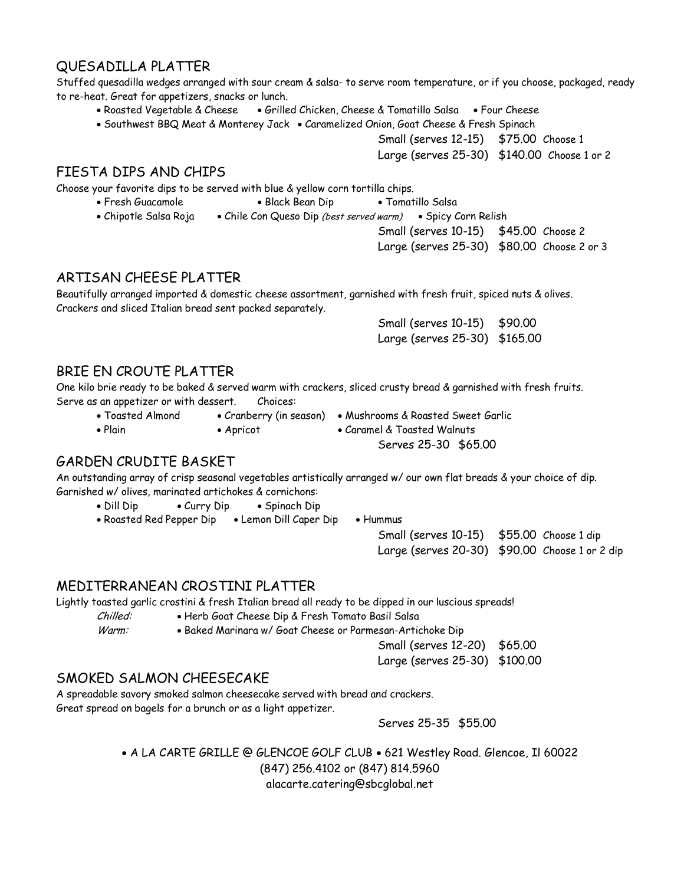# QUESADILLA PLATTER

Stuffed quesadilla wedges arranged with sour cream & salsa- to serve room temperature, or if you choose, packaged, ready to re-heat. Great for appetizers, snacks or lunch.

- Roasted Vegetable & Cheese Grilled Chicken, Cheese & Tomatillo Salsa Four Cheese
- Southwest BBQ Meat & Monterey Jack Caramelized Onion, Goat Cheese & Fresh Spinach

Small (serves 12-15) \$75.00 Choose 1

Large (serves 25-30) \$140.00 Choose 1 or 2

## FIESTA DIPS AND CHIPS

Choose your favorite dips to be served with blue & yellow corn tortilla chips.

- 
- Fresh Guacamole Black Bean Dip Tomatillo Salsa
- Chipotle Salsa Roja Chile Con Queso Dip (best served warm) Spicy Corn Relish
	- Small (serves 10-15) \$45.00 Choose 2

Large (serves 25-30) \$80.00 Choose 2 or 3

# ARTISAN CHEESE PLATTER

Beautifully arranged imported & domestic cheese assortment, garnished with fresh fruit, spiced nuts & olives. Crackers and sliced Italian bread sent packed separately.

> Small (serves 10-15) \$90.00 Large (serves 25-30) \$165.00

# BRIE EN CROUTE PLATTER

One kilo brie ready to be baked & served warm with crackers, sliced crusty bread & garnished with fresh fruits. Serve as an appetizer or with dessert. Choices:

- -

• Toasted Almond • Cranberry (in season) • Mushrooms & Roasted Sweet Garlic

• Plain • Apricot • Caramel & Toasted Walnuts

Serves 25-30 \$65.00

# GARDEN CRUDITE BASKET

An outstanding array of crisp seasonal vegetables artistically arranged w/ our own flat breads & your choice of dip. Garnished w/ olives, marinated artichokes & cornichons:

- Dill Dip Curry Dip Spinach Dip
- Roasted Red Pepper Dip Lemon Dill Caper Dip Hummus
	- Small (serves 10-15) \$55.00 Choose 1 dip Large (serves 20-30) \$90.00 Choose 1 or 2 dip

# MEDITERRANEAN CROSTINI PLATTER

Lightly toasted garlic crostini & fresh Italian bread all ready to be dipped in our luscious spreads!

Chilled: • Herb Goat Cheese Dip & Fresh Tomato Basil Salsa

Warm: • Baked Marinara w/ Goat Cheese or Parmesan-Artichoke Dip

Small (serves 12-20) \$65.00

Large (serves 25-30) \$100.00

# SMOKED SALMON CHEESECAKE

A spreadable savory smoked salmon cheesecake served with bread and crackers. Great spread on bagels for a brunch or as a light appetizer.

Serves 25-35 \$55.00

• A LA CARTE GRILLE @ GLENCOE GOLF CLUB • 621 Westley Road. Glencoe, Il 60022 (847) 256.4102 or (847) 814.5960 alacarte.catering@sbcglobal.net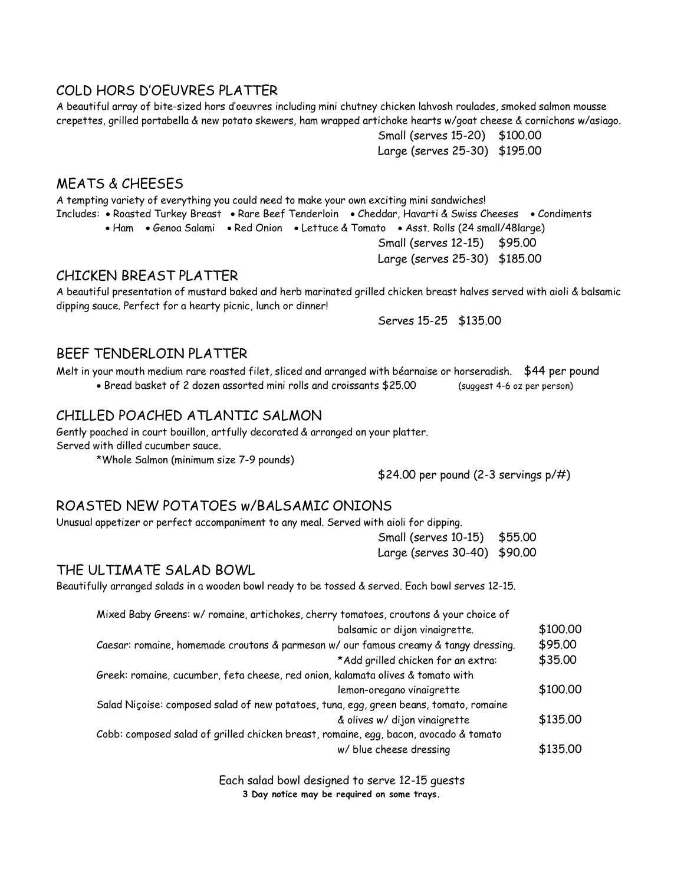#### COLD HORS D'OEUVRES PLATTER

A beautiful array of bite-sized hors d'oeuvres including mini chutney chicken lahvosh roulades, smoked salmon mousse crepettes, grilled portabella & new potato skewers, ham wrapped artichoke hearts w/goat cheese & cornichons w/asiago.

> Small (serves 15-20) \$100.00 Large (serves 25-30) \$195.00

#### MEATS & CHEESES

A tempting variety of everything you could need to make your own exciting mini sandwiches! Includes: • Roasted Turkey Breast • Rare Beef Tenderloin • Cheddar, Havarti & Swiss Cheeses • Condiments • Ham • Genoa Salami • Red Onion • Lettuce & Tomato • Asst. Rolls (24 small/48large)

Small (serves 12-15) \$95.00 Large (serves 25-30) \$185.00

#### CHICKEN BREAST PLATTER

A beautiful presentation of mustard baked and herb marinated grilled chicken breast halves served with aioli & balsamic dipping sauce. Perfect for a hearty picnic, lunch or dinner!

Serves 15-25 \$135.00

#### BEEF TENDERLOIN PLATTER

Melt in your mouth medium rare roasted filet, sliced and arranged with béarnaise or horseradish. \$44 per pound

• Bread basket of 2 dozen assorted mini rolls and croissants \$25.00 (suggest 4-6 oz per person)

## CHILLED POACHED ATLANTIC SALMON

Gently poached in court bouillon, artfully decorated & arranged on your platter. Served with dilled cucumber sauce.

\*Whole Salmon (minimum size 7-9 pounds)

\$24.00 per pound (2-3 servings p/#)

#### ROASTED NEW POTATOES w/BALSAMIC ONIONS

Unusual appetizer or perfect accompaniment to any meal. Served with aioli for dipping.

Small (serves 10-15) \$55.00 Large (serves 30-40) \$90.00

#### THE ULTIMATE SALAD BOWL

Beautifully arranged salads in a wooden bowl ready to be tossed & served. Each bowl serves 12-15.

| Mixed Baby Greens: w/ romaine, artichokes, cherry tomatoes, croutons & your choice of  |          |
|----------------------------------------------------------------------------------------|----------|
| balsamic or dijon vinaigrette.                                                         | \$100.00 |
| Caesar: romaine, homemade croutons & parmesan w/ our famous creamy & tangy dressing.   | \$95.00  |
| *Add grilled chicken for an extra:                                                     | \$35.00  |
| Greek: romaine, cucumber, feta cheese, red onion, kalamata olives & tomato with        |          |
| lemon-oregano vinaigrette                                                              | \$100.00 |
| Salad Niçoise: composed salad of new potatoes, tuna, egg, green beans, tomato, romaine |          |
| & olives w/ dijon vinaigrette                                                          | \$135.00 |
| Cobb: composed salad of grilled chicken breast, romaine, egg, bacon, avocado & tomato  |          |
| w/ blue cheese dressing                                                                | \$135.00 |

Each salad bowl designed to serve 12-15 guests **3 Day notice may be required on some trays.**